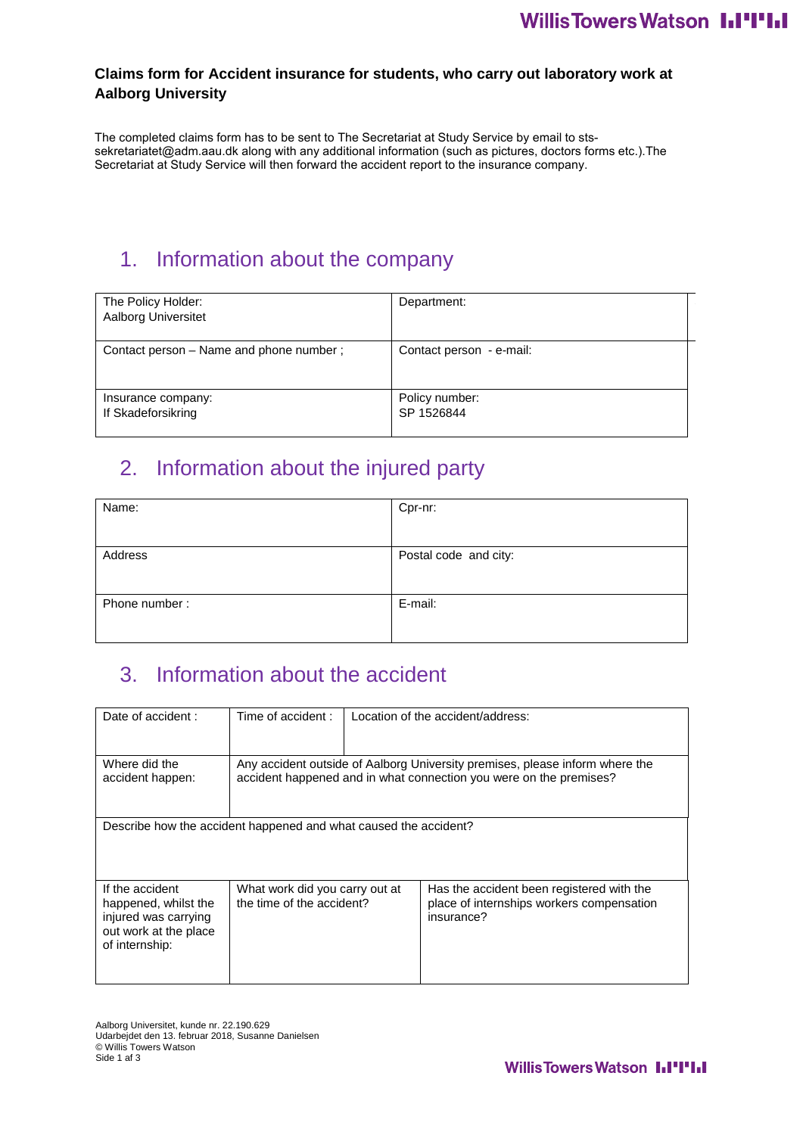#### **Claims form for Accident insurance for students, who carry out laboratory work at Aalborg University**

The completed claims form has to be sent to The Secretariat at Study Service by email to stssekretariatet@adm.aau.dk along with any additional information (such as pictures, doctors forms etc.).The Secretariat at Study Service will then forward the accident report to the insurance company.

# 1. Information about the company

| The Policy Holder:<br>Aalborg Universitet | Department:                  |
|-------------------------------------------|------------------------------|
| Contact person – Name and phone number;   | Contact person - e-mail:     |
| Insurance company:<br>If Skadeforsikring  | Policy number:<br>SP 1526844 |

## 2. Information about the injured party

| Name:         | Cpr-nr:               |
|---------------|-----------------------|
|               |                       |
| Address       | Postal code and city: |
|               |                       |
| Phone number: | E-mail:               |
|               |                       |

## 3. Information about the accident

| Date of accident:                                                | Time of accident:              | Location of the accident/address:                                            |
|------------------------------------------------------------------|--------------------------------|------------------------------------------------------------------------------|
|                                                                  |                                |                                                                              |
|                                                                  |                                |                                                                              |
| Where did the                                                    |                                | Any accident outside of Aalborg University premises, please inform where the |
| accident happen:                                                 |                                | accident happened and in what connection you were on the premises?           |
|                                                                  |                                |                                                                              |
| Describe how the accident happened and what caused the accident? |                                |                                                                              |
|                                                                  |                                |                                                                              |
|                                                                  |                                |                                                                              |
| If the accident                                                  | What work did you carry out at | Has the accident been registered with the                                    |
| happened, whilst the<br>injured was carrying                     | the time of the accident?      | place of internships workers compensation<br>insurance?                      |
| out work at the place                                            |                                |                                                                              |
| of internship:                                                   |                                |                                                                              |
|                                                                  |                                |                                                                              |

Aalborg Universitet, kunde nr. 22.190.629 Udarbejdet den 13. februar 2018, Susanne Danielsen © Willis Towers Watson Side 1 af 3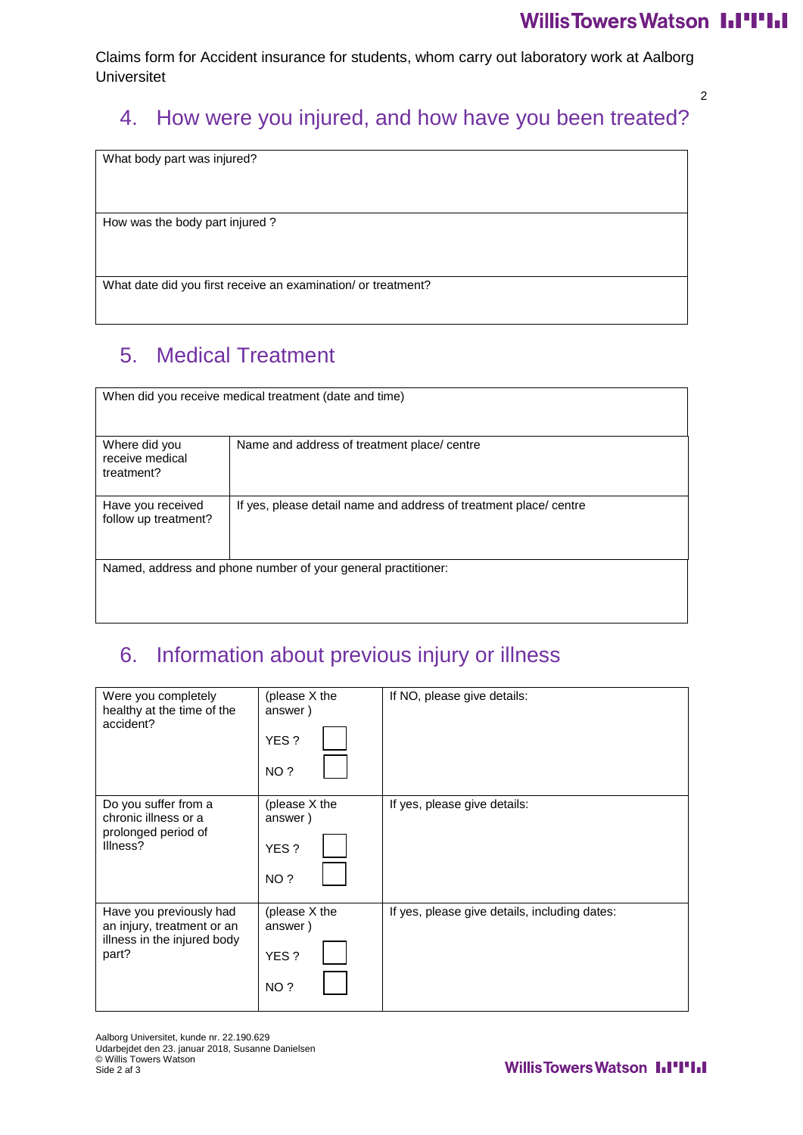Claims form for Accident insurance for students, whom carry out laboratory work at Aalborg Universitet

#### 2

## 4. How were you injured, and how have you been treated?

What body part was injured?

How was the body part injured ?

What date did you first receive an examination/ or treatment?

# 5. Medical Treatment

| When did you receive medical treatment (date and time) |                                                                   |  |
|--------------------------------------------------------|-------------------------------------------------------------------|--|
| Where did you<br>receive medical<br>treatment?         | Name and address of treatment place/centre                        |  |
| Have you received<br>follow up treatment?              | If yes, please detail name and address of treatment place/ centre |  |
|                                                        | Named, address and phone number of your general practitioner:     |  |

## 6. Information about previous injury or illness

| Were you completely<br>healthy at the time of the<br>accident?                                | (please X the<br>answer)<br>YES?<br>NO? | If NO, please give details:                   |
|-----------------------------------------------------------------------------------------------|-----------------------------------------|-----------------------------------------------|
| Do you suffer from a<br>chronic illness or a<br>prolonged period of<br>Illness?               | (please X the<br>answer)<br>YES?<br>NO? | If yes, please give details:                  |
| Have you previously had<br>an injury, treatment or an<br>illness in the injured body<br>part? | (please X the<br>answer)<br>YES?<br>NO? | If yes, please give details, including dates: |